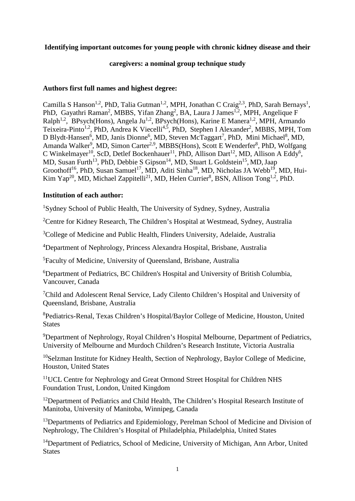# **Identifying important outcomes for young people with chronic kidney disease and their**

# **caregivers: a nominal group technique study**

# **Authors first full names and highest degree:**

Camilla S Hanson<sup>1,2</sup>, PhD, Talia Gutman<sup>1,2</sup>, MPH, Jonathan C Craig<sup>2,3</sup>, PhD, Sarah Bernays<sup>1</sup>, PhD, Gayathri Raman<sup>2</sup>, MBBS, Yifan Zhang<sup>2</sup>, BA, Laura J James<sup>1,2</sup>, MPH, Angelique F Ralph<sup>1,2</sup>, BPsych(Hons), Angela Ju<sup>1,2</sup>, BPsych(Hons), Karine E Manera<sup>1,2</sup>, MPH, Armando Teixeira-Pinto<sup>1,2</sup>, PhD, Andrea K Viecelli<sup>4,5</sup>, PhD, Stephen I Alexander<sup>2</sup>, MBBS, MPH, Tom D Blydt-Hansen<sup>6</sup>, MD, Janis Dionne<sup>6</sup>, MD, Steven McTaggart<sup>7</sup>, PhD, Mini Michael<sup>8</sup>, MD, Amanda Walker<sup>9</sup>, MD, Simon Carter<sup>2,9</sup>, MBBS(Hons), Scott E Wenderfer<sup>8</sup>, PhD, Wolfgang C Winkelmayer<sup>10</sup>, ScD, Detlef Bockenhauer<sup>11</sup>, PhD, Allison Dart<sup>12</sup>, MD, Allison A Eddy<sup>6</sup>, MD, Susan Furth<sup>13</sup>, PhD, Debbie S Gipson<sup>14</sup>, MD, Stuart L Goldstein<sup>15</sup>, MD, Jaap Groothoff<sup>16</sup>, PhD, Susan Samuel<sup>17</sup>, MD, Aditi Sinha<sup>18</sup>, MD, Nicholas JA Webb<sup>19</sup>, MD, Hui-Kim Yap<sup>20</sup>, MD, Michael Zappitelli<sup>21</sup>, MD, Helen Currier<sup>8</sup>, BSN, Allison Tong<sup>1,2</sup>, PhD.

# **Institution of each author:**

<sup>1</sup>Sydney School of Public Health, The University of Sydney, Sydney, Australia

<sup>2</sup>Centre for Kidney Research, The Children's Hospital at Westmead, Sydney, Australia

<sup>3</sup>College of Medicine and Public Health, Flinders University, Adelaide, Australia

<sup>4</sup>Department of Nephrology, Princess Alexandra Hospital, Brisbane, Australia

<sup>5</sup>Faculty of Medicine, University of Queensland, Brisbane, Australia

<sup>6</sup>Department of Pediatrics, BC Children's Hospital and University of British Columbia, Vancouver, Canada

<sup>7</sup>Child and Adolescent Renal Service, Lady Cilento Children's Hospital and University of Queensland, Brisbane, Australia

<sup>8</sup>Pediatrics-Renal, Texas Children's Hospital/Baylor College of Medicine, Houston, United **States** 

<sup>9</sup>Department of Nephrology, Royal Children's Hospital Melbourne, Department of Pediatrics, University of Melbourne and Murdoch Children's Research Institute, Victoria Australia

<sup>10</sup>Selzman Institute for Kidney Health, Section of Nephrology, Baylor College of Medicine, Houston, United States

<sup>11</sup>UCL Centre for Nephrology and Great Ormond Street Hospital for Children NHS Foundation Trust, London, United Kingdom

<sup>12</sup>Department of Pediatrics and Child Health, The Children's Hospital Research Institute of Manitoba, University of Manitoba, Winnipeg, Canada

<sup>13</sup>Departments of Pediatrics and Epidemiology, Perelman School of Medicine and Division of Nephrology, The Children's Hospital of Philadelphia, Philadelphia, United States

<sup>14</sup>Department of Pediatrics, School of Medicine, University of Michigan, Ann Arbor, United **States**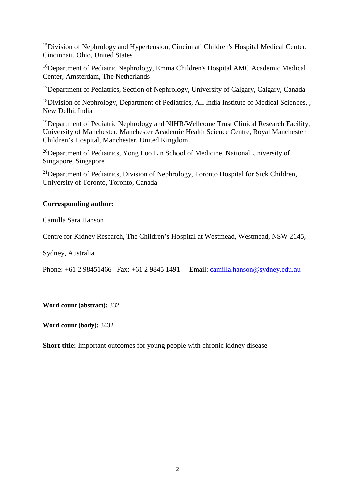<sup>15</sup>Division of Nephrology and Hypertension, Cincinnati Children's Hospital Medical Center, Cincinnati, Ohio, United States

<sup>16</sup>Department of Pediatric Nephrology, Emma Children's Hospital AMC Academic Medical Center, Amsterdam, The Netherlands

<sup>17</sup>Department of Pediatrics, Section of Nephrology, University of Calgary, Calgary, Canada

<sup>18</sup>Division of Nephrology, Department of Pediatrics, All India Institute of Medical Sciences, , New Delhi, India

<sup>19</sup>Department of Pediatric Nephrology and NIHR/Wellcome Trust Clinical Research Facility, University of Manchester, Manchester Academic Health Science Centre, Royal Manchester Children's Hospital, Manchester, United Kingdom

<sup>20</sup>Department of Pediatrics, Yong Loo Lin School of Medicine, National University of Singapore, Singapore

<sup>21</sup>Department of Pediatrics, Division of Nephrology, Toronto Hospital for Sick Children, University of Toronto, Toronto, Canada

# **Corresponding author:**

Camilla Sara Hanson

Centre for Kidney Research, The Children's Hospital at Westmead, Westmead, NSW 2145,

Sydney, Australia

Phone: +61 2 98451466 Fax: +61 2 9845 1491 Email: [camilla.hanson@sydney.edu.au](mailto:camilla.hanson@sydney.edu.au)

**Word count (abstract):** 332

**Word count (body):** 3432

**Short title:** Important outcomes for young people with chronic kidney disease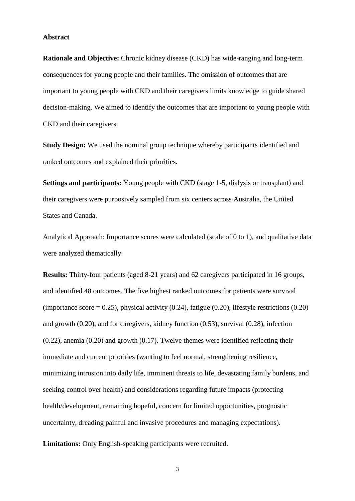#### **Abstract**

**Rationale and Objective:** Chronic kidney disease (CKD) has wide-ranging and long-term consequences for young people and their families. The omission of outcomes that are important to young people with CKD and their caregivers limits knowledge to guide shared decision-making. We aimed to identify the outcomes that are important to young people with CKD and their caregivers.

**Study Design:** We used the nominal group technique whereby participants identified and ranked outcomes and explained their priorities.

**Settings and participants:** Young people with CKD (stage 1-5, dialysis or transplant) and their caregivers were purposively sampled from six centers across Australia, the United States and Canada.

Analytical Approach: Importance scores were calculated (scale of 0 to 1), and qualitative data were analyzed thematically.

**Results:** Thirty-four patients (aged 8-21 years) and 62 caregivers participated in 16 groups, and identified 48 outcomes. The five highest ranked outcomes for patients were survival (importance score  $= 0.25$ ), physical activity (0.24), fatigue (0.20), lifestyle restrictions (0.20) and growth (0.20), and for caregivers, kidney function (0.53), survival (0.28), infection (0.22), anemia (0.20) and growth (0.17). Twelve themes were identified reflecting their immediate and current priorities (wanting to feel normal, strengthening resilience, minimizing intrusion into daily life, imminent threats to life, devastating family burdens, and seeking control over health) and considerations regarding future impacts (protecting health/development, remaining hopeful, concern for limited opportunities, prognostic uncertainty, dreading painful and invasive procedures and managing expectations).

**Limitations:** Only English-speaking participants were recruited.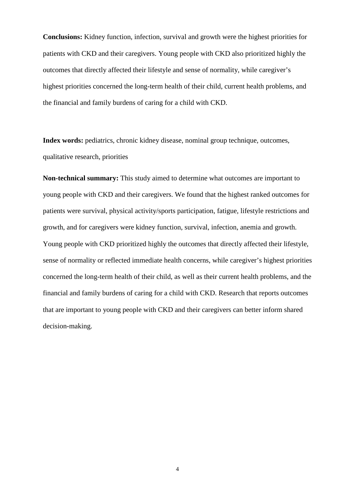**Conclusions:** Kidney function, infection, survival and growth were the highest priorities for patients with CKD and their caregivers. Young people with CKD also prioritized highly the outcomes that directly affected their lifestyle and sense of normality, while caregiver's highest priorities concerned the long-term health of their child, current health problems, and the financial and family burdens of caring for a child with CKD.

Index words: pediatrics, chronic kidney disease, nominal group technique, outcomes, qualitative research, priorities

**Non-technical summary:** This study aimed to determine what outcomes are important to young people with CKD and their caregivers. We found that the highest ranked outcomes for patients were survival, physical activity/sports participation, fatigue, lifestyle restrictions and growth, and for caregivers were kidney function, survival, infection, anemia and growth. Young people with CKD prioritized highly the outcomes that directly affected their lifestyle, sense of normality or reflected immediate health concerns, while caregiver's highest priorities concerned the long-term health of their child, as well as their current health problems, and the financial and family burdens of caring for a child with CKD. Research that reports outcomes that are important to young people with CKD and their caregivers can better inform shared decision-making.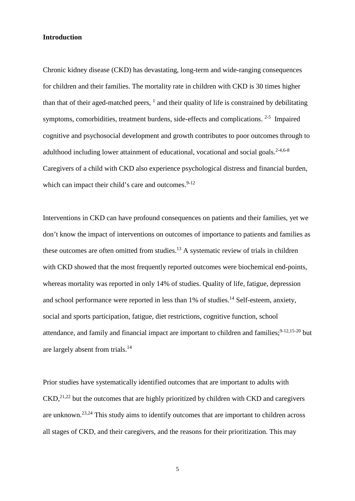## **Introduction**

Chronic kidney disease (CKD) has devastating, long-term and wide-ranging consequences for children and their families. The mortality rate in children with CKD is 30 times higher thanthat of their aged-matched peers,  $<sup>1</sup>$  and their quality of life is constrained by debilitating</sup> symptoms, comorbidities, treatment burdens, side-effects and complications.  $2-5$  Impaired cognitive and psychosocial development and growth contributes to poor outcomes through to adulthood including lower attainment of educational, vocational and social goals.<sup>[2-4,](#page-20-1)[6-8](#page-20-2)</sup> Caregivers of a child with CKD also experience psychological distress and financial burden, which can impact their child's care and outcomes.  $9-12$ 

Interventions in CKD can have profound consequences on patients and their families, yet we don't know the impact of interventions on outcomes of importance to patients and families as these outcomes are often omitted from studies.<sup>[13](#page-20-4)</sup> A systematic review of trials in children with CKD showed that the most frequently reported outcomes were biochemical end-points, whereas mortality was reported in only 14% of studies. Quality of life, fatigue, depression and school performance were reported in less than 1% of studies.<sup>[14](#page-20-5)</sup> Self-esteem, anxiety, social and sports participation, fatigue, diet restrictions, cognitive function, school attendance, and family and financial impact are important to children and families;  $9-12,15-20$  $9-12,15-20$  but are largely absent from trials.[14](#page-20-5)

Prior studies have systematically identified outcomes that are important to adults with  $\text{CKD}$ ,  $^{21,22}$  $^{21,22}$  $^{21,22}$  $^{21,22}$  but the outcomes that are highly prioritized by children with CKD and caregivers are unknown.[23,](#page-21-2)[24](#page-21-3) This study aims to identify outcomes that are important to children across all stages of CKD, and their caregivers, and the reasons for their prioritization. This may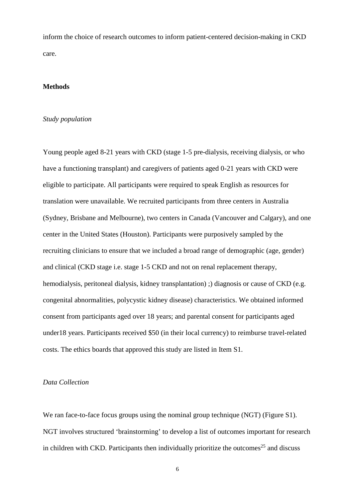inform the choice of research outcomes to inform patient-centered decision-making in CKD care.

#### **Methods**

## *Study population*

Young people aged 8-21 years with CKD (stage 1-5 pre-dialysis, receiving dialysis, or who have a functioning transplant) and caregivers of patients aged 0-21 years with CKD were eligible to participate. All participants were required to speak English as resources for translation were unavailable. We recruited participants from three centers in Australia (Sydney, Brisbane and Melbourne), two centers in Canada (Vancouver and Calgary), and one center in the United States (Houston). Participants were purposively sampled by the recruiting clinicians to ensure that we included a broad range of demographic (age, gender) and clinical (CKD stage i.e. stage 1-5 CKD and not on renal replacement therapy, hemodialysis, peritoneal dialysis, kidney transplantation); diagnosis or cause of CKD (e.g. congenital abnormalities, polycystic kidney disease) characteristics. We obtained informed consent from participants aged over 18 years; and parental consent for participants aged under18 years. Participants received \$50 (in their local currency) to reimburse travel-related costs. The ethics boards that approved this study are listed in Item S1.

## *Data Collection*

We ran face-to-face focus groups using the nominal group technique (NGT) (Figure S1). NGT involves structured 'brainstorming' to develop a list of outcomes important for research in children with CKD. Participants then individually prioritize the outcomes<sup>[25](#page-21-4)</sup> and discuss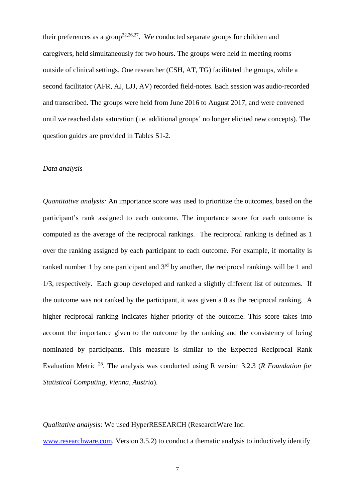their preferences as a group<sup>[22,](#page-21-1)[26,](#page-21-5)[27](#page-21-6)</sup>. We conducted separate groups for children and caregivers, held simultaneously for two hours. The groups were held in meeting rooms outside of clinical settings. One researcher (CSH, AT, TG) facilitated the groups, while a second facilitator (AFR, AJ, LJJ, AV) recorded field-notes. Each session was audio-recorded and transcribed. The groups were held from June 2016 to August 2017, and were convened until we reached data saturation (i.e. additional groups' no longer elicited new concepts). The question guides are provided in Tables S1-2.

#### *Data analysis*

*Quantitative analysis:* An importance score was used to prioritize the outcomes, based on the participant's rank assigned to each outcome. The importance score for each outcome is computed as the average of the reciprocal rankings. The reciprocal ranking is defined as 1 over the ranking assigned by each participant to each outcome. For example, if mortality is ranked number 1 by one participant and  $3<sup>rd</sup>$  by another, the reciprocal rankings will be 1 and 1/3, respectively. Each group developed and ranked a slightly different list of outcomes. If the outcome was not ranked by the participant, it was given a 0 as the reciprocal ranking. A higher reciprocal ranking indicates higher priority of the outcome. This score takes into account the importance given to the outcome by the ranking and the consistency of being nominated by participants. This measure is similar to the Expected Reciprocal Rank Evaluation Metric [28](#page-21-7). The analysis was conducted using R version 3.2.3 (*R Foundation for Statistical Computing, Vienna, Austria*).

*Qualitative analysis:* We used HyperRESEARCH (ResearchWare Inc.

[www.researchware.com,](http://www.researchware.com/) Version 3.5.2) to conduct a thematic analysis to inductively identify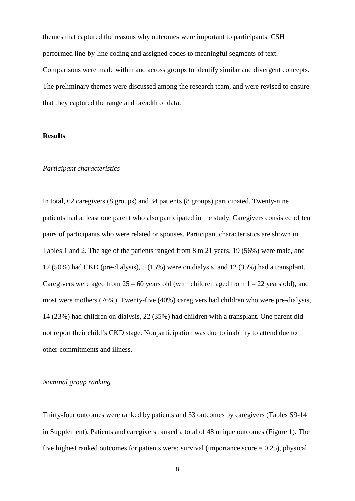themes that captured the reasons why outcomes were important to participants. CSH performed line-by-line coding and assigned codes to meaningful segments of text. Comparisons were made within and across groups to identify similar and divergent concepts. The preliminary themes were discussed among the research team, and were revised to ensure that they captured the range and breadth of data.

## **Results**

#### *Participant characteristics*

In total, 62 caregivers (8 groups) and 34 patients (8 groups) participated. Twenty-nine patients had at least one parent who also participated in the study. Caregivers consisted of ten pairs of participants who were related or spouses. Participant characteristics are shown in Tables 1 and 2. The age of the patients ranged from 8 to 21 years, 19 (56%) were male, and 17 (50%) had CKD (pre-dialysis), 5 (15%) were on dialysis, and 12 (35%) had a transplant. Caregivers were aged from  $25 - 60$  years old (with children aged from  $1 - 22$  years old), and most were mothers (76%). Twenty-five (40%) caregivers had children who were pre-dialysis, 14 (23%) had children on dialysis, 22 (35%) had children with a transplant. One parent did not report their child's CKD stage. Nonparticipation was due to inability to attend due to other commitments and illness.

## *Nominal group ranking*

Thirty-four outcomes were ranked by patients and 33 outcomes by caregivers (Tables S9-14 in Supplement). Patients and caregivers ranked a total of 48 unique outcomes (Figure 1). The five highest ranked outcomes for patients were: survival (importance score  $= 0.25$ ), physical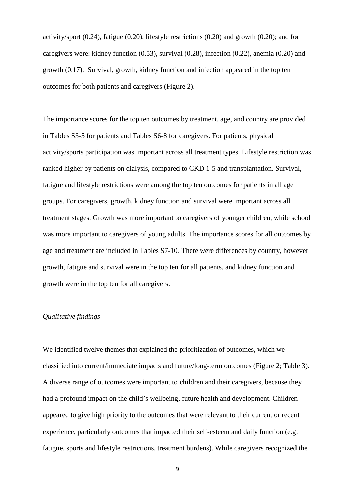activity/sport (0.24), fatigue (0.20), lifestyle restrictions (0.20) and growth (0.20); and for caregivers were: kidney function (0.53), survival (0.28), infection (0.22), anemia (0.20) and growth (0.17). Survival, growth, kidney function and infection appeared in the top ten outcomes for both patients and caregivers (Figure 2).

The importance scores for the top ten outcomes by treatment, age, and country are provided in Tables S3-5 for patients and Tables S6-8 for caregivers. For patients, physical activity/sports participation was important across all treatment types. Lifestyle restriction was ranked higher by patients on dialysis, compared to CKD 1-5 and transplantation. Survival, fatigue and lifestyle restrictions were among the top ten outcomes for patients in all age groups. For caregivers, growth, kidney function and survival were important across all treatment stages. Growth was more important to caregivers of younger children, while school was more important to caregivers of young adults. The importance scores for all outcomes by age and treatment are included in Tables S7-10. There were differences by country, however growth, fatigue and survival were in the top ten for all patients, and kidney function and growth were in the top ten for all caregivers.

# *Qualitative findings*

We identified twelve themes that explained the prioritization of outcomes, which we classified into current/immediate impacts and future/long-term outcomes (Figure 2; Table 3). A diverse range of outcomes were important to children and their caregivers, because they had a profound impact on the child's wellbeing, future health and development. Children appeared to give high priority to the outcomes that were relevant to their current or recent experience, particularly outcomes that impacted their self-esteem and daily function (e.g. fatigue, sports and lifestyle restrictions, treatment burdens). While caregivers recognized the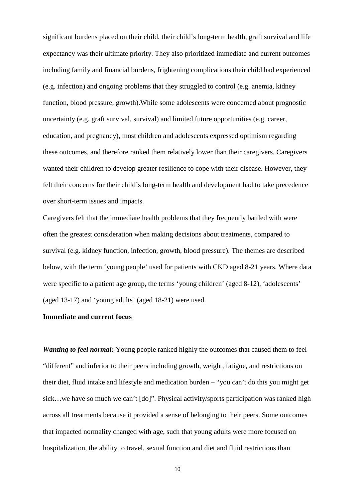significant burdens placed on their child, their child's long-term health, graft survival and life expectancy was their ultimate priority. They also prioritized immediate and current outcomes including family and financial burdens, frightening complications their child had experienced (e.g. infection) and ongoing problems that they struggled to control (e.g. anemia, kidney function, blood pressure, growth).While some adolescents were concerned about prognostic uncertainty (e.g. graft survival, survival) and limited future opportunities (e.g. career, education, and pregnancy), most children and adolescents expressed optimism regarding these outcomes, and therefore ranked them relatively lower than their caregivers. Caregivers wanted their children to develop greater resilience to cope with their disease. However, they felt their concerns for their child's long-term health and development had to take precedence over short-term issues and impacts.

Caregivers felt that the immediate health problems that they frequently battled with were often the greatest consideration when making decisions about treatments, compared to survival (e.g. kidney function, infection, growth, blood pressure). The themes are described below, with the term 'young people' used for patients with CKD aged 8-21 years. Where data were specific to a patient age group, the terms 'young children' (aged 8-12), 'adolescents' (aged 13-17) and 'young adults' (aged 18-21) were used.

# **Immediate and current focus**

*Wanting to feel normal:* Young people ranked highly the outcomes that caused them to feel "different" and inferior to their peers including growth, weight, fatigue, and restrictions on their diet, fluid intake and lifestyle and medication burden – "you can't do this you might get sick…we have so much we can't [do]". Physical activity/sports participation was ranked high across all treatments because it provided a sense of belonging to their peers. Some outcomes that impacted normality changed with age, such that young adults were more focused on hospitalization, the ability to travel, sexual function and diet and fluid restrictions than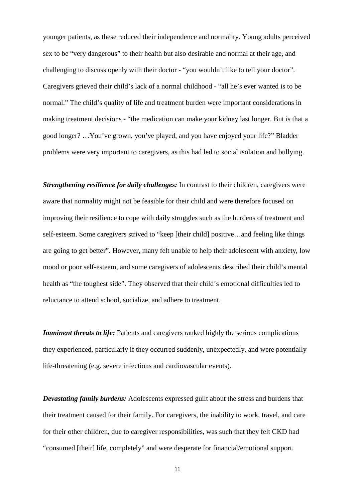younger patients, as these reduced their independence and normality. Young adults perceived sex to be "very dangerous" to their health but also desirable and normal at their age, and challenging to discuss openly with their doctor - "you wouldn't like to tell your doctor". Caregivers grieved their child's lack of a normal childhood - "all he's ever wanted is to be normal." The child's quality of life and treatment burden were important considerations in making treatment decisions - "the medication can make your kidney last longer. But is that a good longer? …You've grown, you've played, and you have enjoyed your life?" Bladder problems were very important to caregivers, as this had led to social isolation and bullying.

*Strengthening resilience for daily challenges:* In contrast to their children, caregivers were aware that normality might not be feasible for their child and were therefore focused on improving their resilience to cope with daily struggles such as the burdens of treatment and self-esteem. Some caregivers strived to "keep [their child] positive…and feeling like things are going to get better". However, many felt unable to help their adolescent with anxiety, low mood or poor self-esteem, and some caregivers of adolescents described their child's mental health as "the toughest side". They observed that their child's emotional difficulties led to reluctance to attend school, socialize, and adhere to treatment.

*Imminent threats to life:* Patients and caregivers ranked highly the serious complications they experienced, particularly if they occurred suddenly, unexpectedly, and were potentially life-threatening (e.g. severe infections and cardiovascular events).

*Devastating family burdens:* Adolescents expressed guilt about the stress and burdens that their treatment caused for their family. For caregivers, the inability to work, travel, and care for their other children, due to caregiver responsibilities, was such that they felt CKD had "consumed [their] life, completely" and were desperate for financial/emotional support.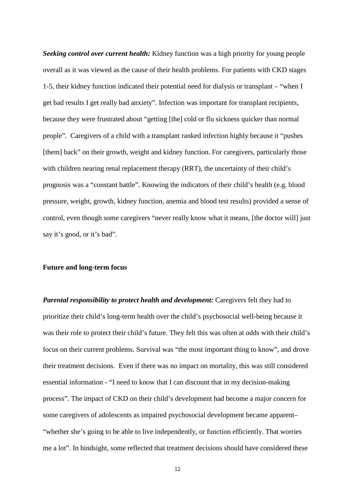*Seeking control over current health:* Kidney function was a high priority for young people overall as it was viewed as the cause of their health problems. For patients with CKD stages 1-5, their kidney function indicated their potential need for dialysis or transplant – "when I get bad results I get really bad anxiety". Infection was important for transplant recipients, because they were frustrated about "getting [the] cold or flu sickness quicker than normal people". Caregivers of a child with a transplant ranked infection highly because it "pushes [them] back" on their growth, weight and kidney function. For caregivers, particularly those with children nearing renal replacement therapy (RRT), the uncertainty of their child's prognosis was a "constant battle". Knowing the indicators of their child's health (e.g. blood pressure, weight, growth, kidney function, anemia and blood test results) provided a sense of control, even though some caregivers "never really know what it means, [the doctor will] just say it's good, or it's bad".

#### **Future and long-term focus**

*Parental responsibility to protect health and development: Caregivers felt they had to* prioritize their child's long-term health over the child's psychosocial well-being because it was their role to protect their child's future. They felt this was often at odds with their child's focus on their current problems. Survival was "the most important thing to know", and drove their treatment decisions. Even if there was no impact on mortality, this was still considered essential information - "I need to know that I can discount that in my decision-making process". The impact of CKD on their child's development had become a major concern for some caregivers of adolescents as impaired psychosocial development became apparent– "whether she's going to be able to live independently, or function efficiently. That worries me a lot". In hindsight, some reflected that treatment decisions should have considered these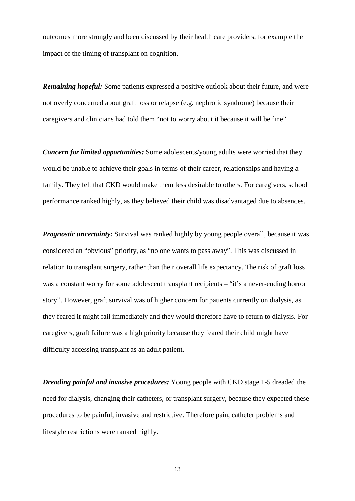outcomes more strongly and been discussed by their health care providers, for example the impact of the timing of transplant on cognition.

*Remaining hopeful:* Some patients expressed a positive outlook about their future, and were not overly concerned about graft loss or relapse (e.g. nephrotic syndrome) because their caregivers and clinicians had told them "not to worry about it because it will be fine".

*Concern for limited opportunities:* Some adolescents/young adults were worried that they would be unable to achieve their goals in terms of their career, relationships and having a family. They felt that CKD would make them less desirable to others. For caregivers, school performance ranked highly, as they believed their child was disadvantaged due to absences.

*Prognostic uncertainty:* Survival was ranked highly by young people overall, because it was considered an "obvious" priority, as "no one wants to pass away". This was discussed in relation to transplant surgery, rather than their overall life expectancy. The risk of graft loss was a constant worry for some adolescent transplant recipients – "it's a never-ending horror" story". However, graft survival was of higher concern for patients currently on dialysis, as they feared it might fail immediately and they would therefore have to return to dialysis. For caregivers, graft failure was a high priority because they feared their child might have difficulty accessing transplant as an adult patient.

*Dreading painful and invasive procedures:* Young people with CKD stage 1-5 dreaded the need for dialysis, changing their catheters, or transplant surgery, because they expected these procedures to be painful, invasive and restrictive. Therefore pain, catheter problems and lifestyle restrictions were ranked highly.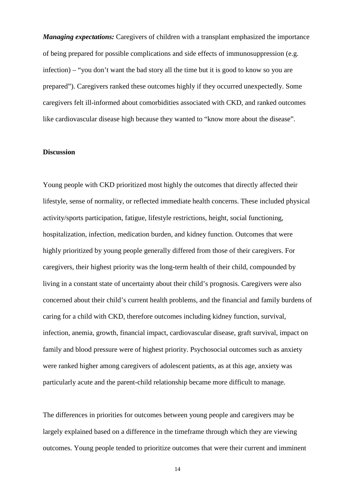*Managing expectations:* Caregivers of children with a transplant emphasized the importance of being prepared for possible complications and side effects of immunosuppression (e.g. infection) – "you don't want the bad story all the time but it is good to know so you are prepared"). Caregivers ranked these outcomes highly if they occurred unexpectedly. Some caregivers felt ill-informed about comorbidities associated with CKD, and ranked outcomes like cardiovascular disease high because they wanted to "know more about the disease".

# **Discussion**

Young people with CKD prioritized most highly the outcomes that directly affected their lifestyle, sense of normality, or reflected immediate health concerns. These included physical activity/sports participation, fatigue, lifestyle restrictions, height, social functioning, hospitalization, infection, medication burden, and kidney function. Outcomes that were highly prioritized by young people generally differed from those of their caregivers. For caregivers, their highest priority was the long-term health of their child, compounded by living in a constant state of uncertainty about their child's prognosis. Caregivers were also concerned about their child's current health problems, and the financial and family burdens of caring for a child with CKD, therefore outcomes including kidney function, survival, infection, anemia, growth, financial impact, cardiovascular disease, graft survival, impact on family and blood pressure were of highest priority. Psychosocial outcomes such as anxiety were ranked higher among caregivers of adolescent patients, as at this age, anxiety was particularly acute and the parent-child relationship became more difficult to manage.

The differences in priorities for outcomes between young people and caregivers may be largely explained based on a difference in the timeframe through which they are viewing outcomes. Young people tended to prioritize outcomes that were their current and imminent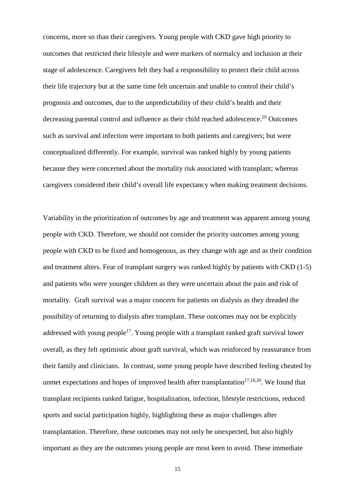concerns, more so than their caregivers. Young people with CKD gave high priority to outcomes that restricted their lifestyle and were markers of normalcy and inclusion at their stage of adolescence. Caregivers felt they had a responsibility to protect their child across their life trajectory but at the same time felt uncertain and unable to control their child's prognosis and outcomes, due to the unpredictability of their child's health and their decreasing parental control and influence as their child reached adolescence.<sup>[29](#page-21-8)</sup> Outcomes such as survival and infection were important to both patients and caregivers; but were conceptualized differently. For example, survival was ranked highly by young patients because they were concerned about the mortality risk associated with transplant; whereas caregivers considered their child's overall life expectancy when making treatment decisions.

Variability in the prioritization of outcomes by age and treatment was apparent among young people with CKD. Therefore, we should not consider the priority outcomes among young people with CKD to be fixed and homogenous, as they change with age and as their condition and treatment alters. Fear of transplant surgery was ranked highly by patients with CKD (1-5) and patients who were younger children as they were uncertain about the pain and risk of mortality. Graft survival was a major concern for patients on dialysis as they dreaded the possibility of returning to dialysis after transplant. These outcomes may not be explicitly addressed with young people<sup>[17](#page-20-7)</sup>. Young people with a transplant ranked graft survival lower overall, as they felt optimistic about graft survival, which was reinforced by reassurance from their family and clinicians. In contrast, some young people have described feeling cheated by unmet expectations and hopes of improved health after transplantation<sup>[17,](#page-20-7)[18,](#page-20-8)[20](#page-21-9)</sup>. We found that transplant recipients ranked fatigue, hospitalization, infection, lifestyle restrictions, reduced sports and social participation highly, highlighting these as major challenges after transplantation. Therefore, these outcomes may not only be unexpected, but also highly important as they are the outcomes young people are most keen to avoid. These immediate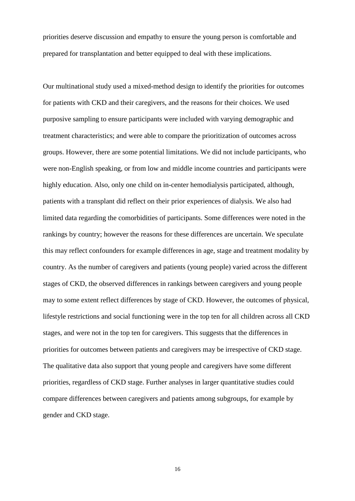priorities deserve discussion and empathy to ensure the young person is comfortable and prepared for transplantation and better equipped to deal with these implications.

Our multinational study used a mixed-method design to identify the priorities for outcomes for patients with CKD and their caregivers, and the reasons for their choices. We used purposive sampling to ensure participants were included with varying demographic and treatment characteristics; and were able to compare the prioritization of outcomes across groups. However, there are some potential limitations. We did not include participants, who were non-English speaking, or from low and middle income countries and participants were highly education. Also, only one child on in-center hemodialysis participated, although, patients with a transplant did reflect on their prior experiences of dialysis. We also had limited data regarding the comorbidities of participants. Some differences were noted in the rankings by country; however the reasons for these differences are uncertain. We speculate this may reflect confounders for example differences in age, stage and treatment modality by country. As the number of caregivers and patients (young people) varied across the different stages of CKD, the observed differences in rankings between caregivers and young people may to some extent reflect differences by stage of CKD. However, the outcomes of physical, lifestyle restrictions and social functioning were in the top ten for all children across all CKD stages, and were not in the top ten for caregivers. This suggests that the differences in priorities for outcomes between patients and caregivers may be irrespective of CKD stage. The qualitative data also support that young people and caregivers have some different priorities, regardless of CKD stage. Further analyses in larger quantitative studies could compare differences between caregivers and patients among subgroups, for example by gender and CKD stage.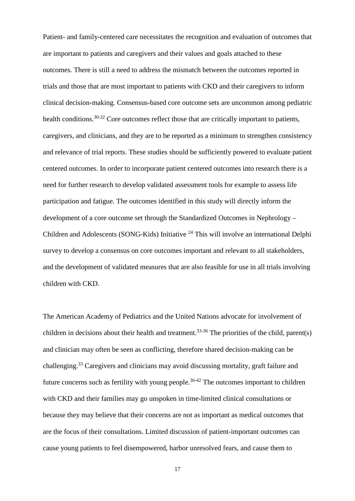Patient- and family-centered care necessitates the recognition and evaluation of outcomes that are important to patients and caregivers and their values and goals attached to these outcomes. There is still a need to address the mismatch between the outcomes reported in trials and those that are most important to patients with CKD and their caregivers to inform clinical decision-making. Consensus-based core outcome sets are uncommon among pediatric health conditions.<sup>[30-32](#page-21-10)</sup> Core outcomes reflect those that are critically important to patients, caregivers, and clinicians, and they are to be reported as a minimum to strengthen consistency and relevance of trial reports. These studies should be sufficiently powered to evaluate patient centered outcomes. In order to incorporate patient centered outcomes into research there is a need for further research to develop validated assessment tools for example to assess life participation and fatigue. The outcomes identified in this study will directly inform the development of a core outcome set through the Standardized Outcomes in Nephrology – Children and Adolescents (SONG-Kids) Initiative [24](#page-21-3) This will involve an international Delphi survey to develop a consensus on core outcomes important and relevant to all stakeholders, and the development of validated measures that are also feasible for use in all trials involving children with CKD.

The American Academy of Pediatrics and the United Nations advocate for involvement of children in decisions about their health and treatment.<sup>[33-36](#page-21-11)</sup>The priorities of the child, parent(s) and clinician may often be seen as conflicting, therefore shared decision-making can be challenging.[33](#page-21-11) Caregivers and clinicians may avoid discussing mortality, graft failure and future concerns such as fertility with young people.<sup>[36-42](#page-21-12)</sup> The outcomes important to children with CKD and their families may go unspoken in time-limited clinical consultations or because they may believe that their concerns are not as important as medical outcomes that are the focus of their consultations. Limited discussion of patient-important outcomes can cause young patients to feel disempowered, harbor unresolved fears, and cause them to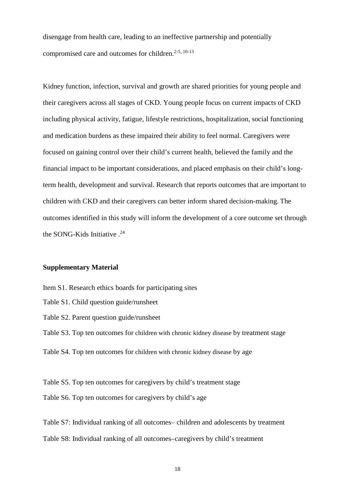disengage from health care, leading to an ineffective partnership and potentially compromised care and outcomes for children.<sup>[2-5,](#page-20-1) [10-13](#page-20-9)</sup>

Kidney function, infection, survival and growth are shared priorities for young people and their caregivers across all stages of CKD. Young people focus on current impacts of CKD including physical activity, fatigue, lifestyle restrictions, hospitalization, social functioning and medication burdens as these impaired their ability to feel normal. Caregivers were focused on gaining control over their child's current health, believed the family and the financial impact to be important considerations, and placed emphasis on their child's longterm health, development and survival. Research that reports outcomes that are important to children with CKD and their caregivers can better inform shared decision-making. The outcomes identified in this study will inform the development of a core outcome set through the SONG-Kids Initiative .<sup>[24](#page-21-3)</sup>

# **Supplementary Material**

- Item S1. Research ethics boards for participating sites
- Table S1. Child question guide/runsheet
- Table S2. Parent question guide/runsheet
- Table S3. Top ten outcomes for children with chronic kidney disease by treatment stage
- Table S4. Top ten outcomes for children with chronic kidney disease by age

Table S5. Top ten outcomes for caregivers by child's treatment stage Table S6. Top ten outcomes for caregivers by child's age

Table S7: Individual ranking of all outcomes– children and adolescents by treatment Table S8: Individual ranking of all outcomes–caregivers by child's treatment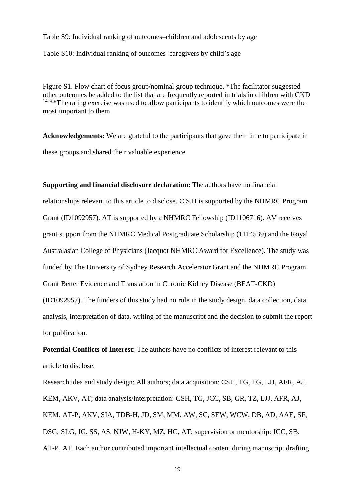Table S9: Individual ranking of outcomes–children and adolescents by age Table S10: Individual ranking of outcomes–caregivers by child's age

Figure S1. Flow chart of focus group/nominal group technique. \*The facilitator suggested other outcomes be added to the list that are frequently reported in trials in children with CKD  $14$  \*\*The rating exercise was used to allow participants to identify which outcomes were the most important to them

**Acknowledgements:** We are grateful to the participants that gave their time to participate in these groups and shared their valuable experience.

**Supporting and financial disclosure declaration:** The authors have no financial relationships relevant to this article to disclose. C.S.H is supported by the NHMRC Program Grant (ID1092957). AT is supported by a NHMRC Fellowship (ID1106716). AV receives grant support from the NHMRC Medical Postgraduate Scholarship (1114539) and the Royal Australasian College of Physicians (Jacquot NHMRC Award for Excellence). The study was funded by The University of Sydney Research Accelerator Grant and the NHMRC Program Grant Better Evidence and Translation in Chronic Kidney Disease (BEAT-CKD) (ID1092957). The funders of this study had no role in the study design, data collection, data analysis, interpretation of data, writing of the manuscript and the decision to submit the report for publication.

**Potential Conflicts of Interest:** The authors have no conflicts of interest relevant to this article to disclose.

Research idea and study design: All authors; data acquisition: CSH, TG, TG, LJJ, AFR, AJ, KEM, AKV, AT; data analysis/interpretation: CSH, TG, JCC, SB, GR, TZ, LJJ, AFR, AJ, KEM, AT-P, AKV, SIA, TDB-H, JD, SM, MM, AW, SC, SEW, WCW, DB, AD, AAE, SF, DSG, SLG, JG, SS, AS, NJW, H-KY, MZ, HC, AT; supervision or mentorship: JCC, SB, AT-P, AT. Each author contributed important intellectual content during manuscript drafting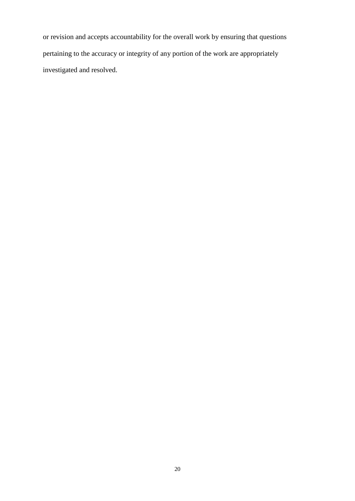or revision and accepts accountability for the overall work by ensuring that questions pertaining to the accuracy or integrity of any portion of the work are appropriately investigated and resolved.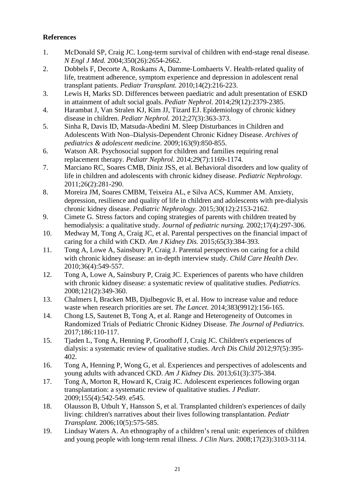# **References**

- <span id="page-20-0"></span>1. McDonald SP, Craig JC. Long-term survival of children with end-stage renal disease. *N Engl J Med.* 2004;350(26):2654-2662.
- <span id="page-20-1"></span>2. Dobbels F, Decorte A, Roskams A, Damme‐Lombaerts V. Health‐related quality of life, treatment adherence, symptom experience and depression in adolescent renal transplant patients. *Pediatr Transplant.* 2010;14(2):216-223.
- 3. Lewis H, Marks SD. Differences between paediatric and adult presentation of ESKD in attainment of adult social goals. *Pediatr Nephrol.* 2014;29(12):2379-2385.
- 4. Harambat J, Van Stralen KJ, Kim JJ, Tizard EJ. Epidemiology of chronic kidney disease in children. *Pediatr Nephrol.* 2012;27(3):363-373.
- 5. Sinha R, Davis ID, Matsuda-Abedini M. Sleep Disturbances in Children and Adolescents With Non–Dialysis-Dependent Chronic Kidney Disease. *Archives of pediatrics & adolescent medicine.* 2009;163(9):850-855.
- <span id="page-20-2"></span>6. Watson AR. Psychosocial support for children and families requiring renal replacement therapy. *Pediatr Nephrol.* 2014;29(7):1169-1174.
- 7. Marciano RC, Soares CMB, Diniz JSS, et al. Behavioral disorders and low quality of life in children and adolescents with chronic kidney disease. *Pediatric Nephrology.*  2011;26(2):281-290.
- 8. Moreira JM, Soares CMBM, Teixeira AL, e Silva ACS, Kummer AM. Anxiety, depression, resilience and quality of life in children and adolescents with pre-dialysis chronic kidney disease. *Pediatric Nephrology.* 2015;30(12):2153-2162.
- <span id="page-20-3"></span>9. Cimete G. Stress factors and coping strategies of parents with children treated by hemodialysis: a qualitative study. *Journal of pediatric nursing.* 2002;17(4):297-306.
- <span id="page-20-9"></span>10. Medway M, Tong A, Craig JC, et al. Parental perspectives on the financial impact of caring for a child with CKD. *Am J Kidney Dis.* 2015;65(3):384-393.
- 11. Tong A, Lowe A, Sainsbury P, Craig J. Parental perspectives on caring for a child with chronic kidney disease: an in‐depth interview study. *Child Care Health Dev.*  2010;36(4):549-557.
- 12. Tong A, Lowe A, Sainsbury P, Craig JC. Experiences of parents who have children with chronic kidney disease: a systematic review of qualitative studies. *Pediatrics.*  2008;121(2):349-360.
- <span id="page-20-4"></span>13. Chalmers I, Bracken MB, Djulbegovic B, et al. How to increase value and reduce waste when research priorities are set. *The Lancet.* 2014;383(9912):156-165.
- <span id="page-20-5"></span>14. Chong LS, Sautenet B, Tong A, et al. Range and Heterogeneity of Outcomes in Randomized Trials of Pediatric Chronic Kidney Disease. *The Journal of Pediatrics.*  2017;186:110-117.
- <span id="page-20-6"></span>15. Tjaden L, Tong A, Henning P, Groothoff J, Craig JC. Children's experiences of dialysis: a systematic review of qualitative studies. *Arch Dis Child* 2012;97(5):395- 402.
- 16. Tong A, Henning P, Wong G, et al. Experiences and perspectives of adolescents and young adults with advanced CKD. *Am J Kidney Dis.* 2013;61(3):375-384.
- <span id="page-20-7"></span>17. Tong A, Morton R, Howard K, Craig JC. Adolescent experiences following organ transplantation: a systematic review of qualitative studies. *J Pediatr.*  2009;155(4):542-549. e545.
- <span id="page-20-8"></span>18. Olausson B, Utbult Y, Hansson S, et al. Transplanted children's experiences of daily living: children's narratives about their lives following transplantation. *Pediatr Transplant.* 2006;10(5):575-585.
- 19. Lindsay Waters A. An ethnography of a children's renal unit: experiences of children and young people with long‐term renal illness. *J Clin Nurs.* 2008;17(23):3103-3114.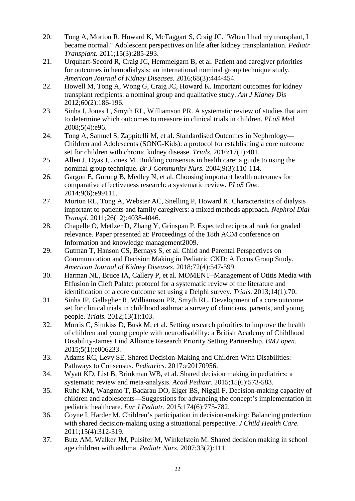- <span id="page-21-9"></span>20. Tong A, Morton R, Howard K, McTaggart S, Craig JC. "When I had my transplant, I became normal." Adolescent perspectives on life after kidney transplantation. *Pediatr Transplant.* 2011;15(3):285-293.
- <span id="page-21-0"></span>21. Urquhart-Secord R, Craig JC, Hemmelgarn B, et al. Patient and caregiver priorities for outcomes in hemodialysis: an international nominal group technique study. *American Journal of Kidney Diseases.* 2016;68(3):444-454.
- <span id="page-21-1"></span>22. Howell M, Tong A, Wong G, Craig JC, Howard K. Important outcomes for kidney transplant recipients: a nominal group and qualitative study. *Am J Kidney Dis*  2012;60(2):186-196.
- <span id="page-21-2"></span>23. Sinha I, Jones L, Smyth RL, Williamson PR. A systematic review of studies that aim to determine which outcomes to measure in clinical trials in children. *PLoS Med.*  2008;5(4):e96.
- <span id="page-21-3"></span>24. Tong A, Samuel S, Zappitelli M, et al. Standardised Outcomes in Nephrology— Children and Adolescents (SONG-Kids): a protocol for establishing a core outcome set for children with chronic kidney disease. *Trials.* 2016;17(1):401.
- <span id="page-21-4"></span>25. Allen J, Dyas J, Jones M. Building consensus in health care: a guide to using the nominal group technique. *Br J Community Nurs.* 2004;9(3):110-114.
- <span id="page-21-5"></span>26. Gargon E, Gurung B, Medley N, et al. Choosing important health outcomes for comparative effectiveness research: a systematic review. *PLoS One.*  2014;9(6):e99111.
- <span id="page-21-6"></span>27. Morton RL, Tong A, Webster AC, Snelling P, Howard K. Characteristics of dialysis important to patients and family caregivers: a mixed methods approach. *Nephrol Dial Transpl.* 2011;26(12):4038-4046.
- <span id="page-21-7"></span>28. Chapelle O, Metlzer D, Zhang Y, Grinspan P. Expected reciprocal rank for graded relevance. Paper presented at: Proceedings of the 18th ACM conference on Information and knowledge management2009.
- <span id="page-21-8"></span>29. Gutman T, Hanson CS, Bernays S, et al. Child and Parental Perspectives on Communication and Decision Making in Pediatric CKD: A Focus Group Study. *American Journal of Kidney Diseases.* 2018;72(4):547-599.
- <span id="page-21-10"></span>30. Harman NL, Bruce IA, Callery P, et al. MOMENT–Management of Otitis Media with Effusion in Cleft Palate: protocol for a systematic review of the literature and identification of a core outcome set using a Delphi survey. *Trials.* 2013;14(1):70.
- 31. Sinha IP, Gallagher R, Williamson PR, Smyth RL. Development of a core outcome set for clinical trials in childhood asthma: a survey of clinicians, parents, and young people. *Trials.* 2012;13(1):103.
- 32. Morris C, Simkiss D, Busk M, et al. Setting research priorities to improve the health of children and young people with neurodisability: a British Academy of Childhood Disability-James Lind Alliance Research Priority Setting Partnership. *BMJ open.*  2015;5(1):e006233.
- <span id="page-21-11"></span>33. Adams RC, Levy SE. Shared Decision-Making and Children With Disabilities: Pathways to Consensus. *Pediatrics.* 2017:e20170956.
- 34. Wyatt KD, List B, Brinkman WB, et al. Shared decision making in pediatrics: a systematic review and meta-analysis. *Acad Pediatr.* 2015;15(6):573-583.
- 35. Ruhe KM, Wangmo T, Badarau DO, Elger BS, Niggli F. Decision-making capacity of children and adolescents—Suggestions for advancing the concept's implementation in pediatric healthcare. *Eur J Pediatr.* 2015;174(6):775-782.
- <span id="page-21-12"></span>36. Coyne I, Harder M. Children's participation in decision-making: Balancing protection with shared decision-making using a situational perspective. *J Child Health Care.*  2011;15(4):312-319.
- 37. Butz AM, Walker JM, Pulsifer M, Winkelstein M. Shared decision making in school age children with asthma. *Pediatr Nurs.* 2007;33(2):111.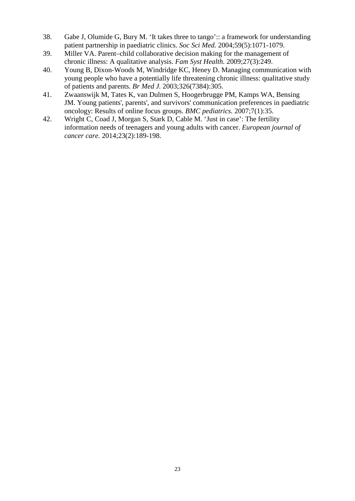- 38. Gabe J, Olumide G, Bury M. 'It takes three to tango':: a framework for understanding patient partnership in paediatric clinics. *Soc Sci Med.* 2004;59(5):1071-1079.
- 39. Miller VA. Parent–child collaborative decision making for the management of chronic illness: A qualitative analysis. *Fam Syst Health.* 2009;27(3):249.
- 40. Young B, Dixon-Woods M, Windridge KC, Heney D. Managing communication with young people who have a potentially life threatening chronic illness: qualitative study of patients and parents. *Br Med J.* 2003;326(7384):305.
- 41. Zwaanswijk M, Tates K, van Dulmen S, Hoogerbrugge PM, Kamps WA, Bensing JM. Young patients', parents', and survivors' communication preferences in paediatric oncology: Results of online focus groups. *BMC pediatrics.* 2007;7(1):35.
- 42. Wright C, Coad J, Morgan S, Stark D, Cable M. 'Just in case': The fertility information needs of teenagers and young adults with cancer. *European journal of cancer care.* 2014;23(2):189-198.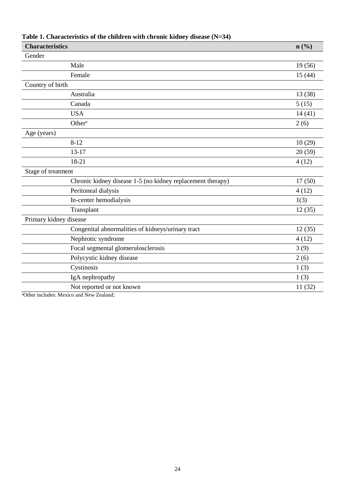| <b>Characteristics</b>                                     | n(%     |
|------------------------------------------------------------|---------|
| Gender                                                     |         |
| Male                                                       | 19(56)  |
| Female                                                     | 15(44)  |
| Country of birth                                           |         |
| Australia                                                  | 13 (38) |
| Canada                                                     | 5(15)   |
| <b>USA</b>                                                 | 14(41)  |
| Other <sup>a</sup>                                         | 2(6)    |
| Age (years)                                                |         |
| $8 - 12$                                                   | 10(29)  |
| $13 - 17$                                                  | 20(59)  |
| 18-21                                                      | 4(12)   |
| Stage of treatment                                         |         |
| Chronic kidney disease 1-5 (no kidney replacement therapy) | 17(50)  |
| Peritoneal dialysis                                        | 4(12)   |
| In-center hemodialysis                                     | 1(3)    |
| Transplant                                                 | 12(35)  |
| Primary kidney disease                                     |         |
| Congenital abnormalities of kidneys/urinary tract          | 12(35)  |
| Nephrotic syndrome                                         | 4(12)   |
| Focal segmental glomerulosclerosis                         | 3(9)    |
| Polycystic kidney disease                                  | 2(6)    |
| Cystinosis                                                 | 1(3)    |
| IgA nephropathy                                            | 1(3)    |
| Not reported or not known                                  | 11 (32) |

# **Table 1. Characteristics of the children with chronic kidney disease (N=34)**

aOther includes: Mexico and New Zealand;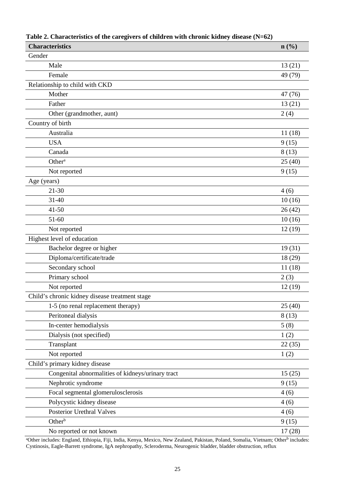| <b>Characteristics</b>                            | n(%)    |
|---------------------------------------------------|---------|
| Gender                                            |         |
| Male                                              | 13(21)  |
| Female                                            | 49 (79) |
| Relationship to child with CKD                    |         |
| Mother                                            | 47 (76) |
| Father                                            | 13(21)  |
| Other (grandmother, aunt)                         | 2(4)    |
| Country of birth                                  |         |
| Australia                                         | 11(18)  |
| <b>USA</b>                                        | 9(15)   |
| Canada                                            | 8(13)   |
| Other <sup>a</sup>                                | 25(40)  |
| Not reported                                      | 9(15)   |
| Age (years)                                       |         |
| $21 - 30$                                         | 4(6)    |
| $31 - 40$                                         | 10(16)  |
| $41 - 50$                                         | 26(42)  |
| $51 - 60$                                         | 10(16)  |
| Not reported                                      | 12(19)  |
| Highest level of education                        |         |
| Bachelor degree or higher                         | 19(31)  |
| Diploma/certificate/trade                         | 18 (29) |
| Secondary school                                  | 11(18)  |
| Primary school                                    | 2(3)    |
| Not reported                                      | 12 (19) |
| Child's chronic kidney disease treatment stage    |         |
| 1-5 (no renal replacement therapy)                | 25(40)  |
| Peritoneal dialysis                               | 8(13)   |
| In-center hemodialysis                            | 5(8)    |
| Dialysis (not specified)                          | 1(2)    |
| Transplant                                        | 22(35)  |
| Not reported                                      | 1(2)    |
| Child's primary kidney disease                    |         |
| Congenital abnormalities of kidneys/urinary tract | 15(25)  |
| Nephrotic syndrome                                | 9(15)   |
| Focal segmental glomerulosclerosis                | 4(6)    |
| Polycystic kidney disease                         | 4(6)    |
| Posterior Urethral Valves                         | 4(6)    |
| Other <sup>b</sup>                                | 9(15)   |
| No reported or not known                          | 17(28)  |

| Table 2. Characteristics of the caregivers of children with chronic kidney disease $(N=62)$ |  |  |  |
|---------------------------------------------------------------------------------------------|--|--|--|
|                                                                                             |  |  |  |

<sup>a</sup>Other includes: England, Ethiopia, Fiji, India, Kenya, Mexico, New Zealand, Pakistan, Poland, Somalia, Vietnam; Other<sup>b</sup> includes: Cystinosis, Eagle-Barrett syndrome, IgA nephropathy, Scleroderma, Neurogenic bladder, bladder obstruction, reflux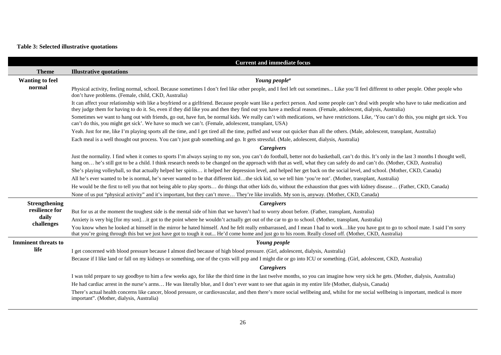# **Table 3: Selected illustrative quotations**

|                            | <b>Current and immediate focus</b>                                                                                                                                                                                                                                                                                                                                             |
|----------------------------|--------------------------------------------------------------------------------------------------------------------------------------------------------------------------------------------------------------------------------------------------------------------------------------------------------------------------------------------------------------------------------|
| <b>Theme</b>               | <b>Illustrative quotations</b>                                                                                                                                                                                                                                                                                                                                                 |
| <b>Wanting to feel</b>     | Young people <sup>a</sup>                                                                                                                                                                                                                                                                                                                                                      |
| normal                     | Physical activity, feeling normal, school. Because sometimes I don't feel like other people, and I feel left out sometimes Like you'll feel different to other people. Other people who<br>don't have problems. (Female, child, CKD, Australia)                                                                                                                                |
|                            | It can affect your relationship with like a boyfriend or a girlfriend. Because people want like a perfect person. And some people can't deal with people who have to take medication and<br>they judge them for having to do it. So, even if they did like you and then they find out you have a medical reason. (Female, adolescent, dialysis, Australia)                     |
|                            | Sometimes we want to hang out with friends, go out, have fun, be normal kids. We really can't with medications, we have restrictions. Like, 'You can't do this, you might get sick. You<br>can't do this, you might get sick'. We have so much we can't. (Female, adolescent, transplant, USA)                                                                                 |
|                            | Yeah. Just for me, like I'm playing sports all the time, and I get tired all the time, puffed and wear out quicker than all the others. (Male, adolescent, transplant, Australia)                                                                                                                                                                                              |
|                            | Each meal is a well thought out process. You can't just grab something and go. It gets stressful. (Male, adolescent, dialysis, Australia)                                                                                                                                                                                                                                      |
|                            | <b>Caregivers</b>                                                                                                                                                                                                                                                                                                                                                              |
|                            | Just the normality. I find when it comes to sports I'm always saying to my son, you can't do football, better not do basketball, can't do this. It's only in the last 3 months I thought well,<br>hang on he's still got to be a child. I think research needs to be changed on the approach with that as well, what they can safely do and can't do. (Mother, CKD, Australia) |
|                            | She's playing volleyball, so that actually helped her spirits it helped her depression level, and helped her get back on the social level, and school. (Mother, CKD, Canada)                                                                                                                                                                                                   |
|                            | All he's ever wanted to be is normal, he's never wanted to be that different kidthe sick kid, so we tell him 'you're not'. (Mother, transplant, Australia)                                                                                                                                                                                                                     |
|                            | He would be the first to tell you that not being able to play sports do things that other kids do, without the exhaustion that goes with kidney disease (Father, CKD, Canada)                                                                                                                                                                                                  |
|                            | None of us put "physical activity" and it's important, but they can't move They're like invalids. My son is, anyway. (Mother, CKD, Canada)                                                                                                                                                                                                                                     |
| <b>Strengthening</b>       | <b>Caregivers</b>                                                                                                                                                                                                                                                                                                                                                              |
| resilience for             | But for us at the moment the toughest side is the mental side of him that we haven't had to worry about before. (Father, transplant, Australia)                                                                                                                                                                                                                                |
| daily<br>challenges        | Anxiety is very big [for my son]it got to the point where he wouldn't actually get out of the car to go to school. (Mother, transplant, Australia)                                                                                                                                                                                                                             |
|                            | You know when he looked at himself in the mirror he hated himself. And he felt really embarrassed, and I mean I had to worklike you have got to go to school mate. I said I'm sorry<br>that you're going through this but we just have got to tough it out He'd come home and just go to his room. Really closed off. (Mother, CKD, Australia)                                 |
| <b>Imminent threats to</b> | Young people                                                                                                                                                                                                                                                                                                                                                                   |
| life                       | I get concerned with blood pressure because I almost died because of high blood pressure. (Girl, adolescent, dialysis, Australia)                                                                                                                                                                                                                                              |
|                            | Because if I like land or fall on my kidneys or something, one of the cysts will pop and I might die or go into ICU or something. (Girl, adolescent, CKD, Australia)                                                                                                                                                                                                           |
|                            | <b>Caregivers</b>                                                                                                                                                                                                                                                                                                                                                              |
|                            | I was told prepare to say goodbye to him a few weeks ago, for like the third time in the last twelve months, so you can imagine how very sick he gets. (Mother, dialysis, Australia)                                                                                                                                                                                           |
|                            | He had cardiac arrest in the nurse's arms He was literally blue, and I don't ever want to see that again in my entire life (Mother, dialysis, Canada)                                                                                                                                                                                                                          |
|                            | There's actual health concerns like cancer, blood pressure, or cardiovascular, and then there's more social wellbeing and, whilst for me social wellbeing is important, medical is more<br>important". (Mother, dialysis, Australia)                                                                                                                                           |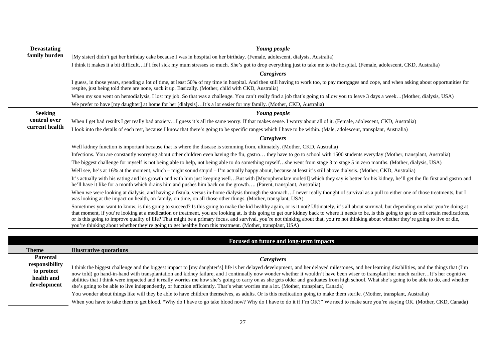| <b>Devastating</b> | Young people                                                                                                                                                                                                                                                                                                                                                                                                                                                                                                                                                                                                                                                                                             |
|--------------------|----------------------------------------------------------------------------------------------------------------------------------------------------------------------------------------------------------------------------------------------------------------------------------------------------------------------------------------------------------------------------------------------------------------------------------------------------------------------------------------------------------------------------------------------------------------------------------------------------------------------------------------------------------------------------------------------------------|
| family burden      | [My sister] didn't get her birthday cake because I was in hospital on her birthday. (Female, adolescent, dialysis, Australia)                                                                                                                                                                                                                                                                                                                                                                                                                                                                                                                                                                            |
|                    | I think it makes it a bit difficultIf I feel sick my mum stresses so much. She's got to drop everything just to take me to the hospital. (Female, adolescent, CKD, Australia)                                                                                                                                                                                                                                                                                                                                                                                                                                                                                                                            |
|                    | Caregivers                                                                                                                                                                                                                                                                                                                                                                                                                                                                                                                                                                                                                                                                                               |
|                    | I guess, in those years, spending a lot of time, at least 50% of my time in hospital. And then still having to work too, to pay mortgages and cope, and when asking about opportunities for<br>respite, just being told there are none, suck it up. Basically. (Mother, child with CKD, Australia)                                                                                                                                                                                                                                                                                                                                                                                                       |
|                    | When my son went on hemodialysis, I lost my job. So that was a challenge. You can't really find a job that's going to allow you to leave 3 days a week(Mother, dialysis, USA)                                                                                                                                                                                                                                                                                                                                                                                                                                                                                                                            |
|                    | We prefer to have [my daughter] at home for her [dialysis]It's a lot easier for my family. (Mother, CKD, Australia)                                                                                                                                                                                                                                                                                                                                                                                                                                                                                                                                                                                      |
| <b>Seeking</b>     | Young people                                                                                                                                                                                                                                                                                                                                                                                                                                                                                                                                                                                                                                                                                             |
| control over       | When I get bad results I get really bad anxietyI guess it's all the same worry. If that makes sense. I worry about all of it. (Female, adolescent, CKD, Australia)                                                                                                                                                                                                                                                                                                                                                                                                                                                                                                                                       |
| current health     | I look into the details of each test, because I know that there's going to be specific ranges which I have to be within. (Male, adolescent, transplant, Australia)                                                                                                                                                                                                                                                                                                                                                                                                                                                                                                                                       |
|                    | Caregivers                                                                                                                                                                                                                                                                                                                                                                                                                                                                                                                                                                                                                                                                                               |
|                    | Well kidney function is important because that is where the disease is stemming from, ultimately. (Mother, CKD, Australia)                                                                                                                                                                                                                                                                                                                                                                                                                                                                                                                                                                               |
|                    | Infections. You are constantly worrying about other children even having the flu, gastro they have to go to school with 1500 students everyday (Mother, transplant, Australia)                                                                                                                                                                                                                                                                                                                                                                                                                                                                                                                           |
|                    | The biggest challenge for myself is not being able to help, not being able to do something myselfshe went from stage 3 to stage 5 in zero months. (Mother, dialysis, USA)                                                                                                                                                                                                                                                                                                                                                                                                                                                                                                                                |
|                    | Well see, he's at 16% at the moment, which – might sound stupid – I'm actually happy about, because at least it's still above dialysis. (Mother, CKD, Australia)                                                                                                                                                                                                                                                                                                                                                                                                                                                                                                                                         |
|                    | It's actually with his eating and his growth and with him just keeping wellBut with [Mycophenolate mofetil] which they say is better for his kidney, he'll get the flu first and gastro and<br>he'll have it like for a month which drains him and pushes him back on the growth (Parent, transplant, Australia)                                                                                                                                                                                                                                                                                                                                                                                         |
|                    | When we were looking at dialysis, and having a fistula, versus in-home dialysis through the stomachI never really thought of survival as a pull to either one of those treatments, but I<br>was looking at the impact on health, on family, on time, on all those other things. (Mother, transplant, USA)                                                                                                                                                                                                                                                                                                                                                                                                |
|                    | Sometimes you want to know, is this going to succeed? Is this going to make the kid healthy again, or is it not? Ultimately, it's all about survival, but depending on what you're doing at<br>that moment, if you're looking at a medication or treatment, you are looking at, Is this going to get our kidney back to where it needs to be, is this going to get us off certain medications,<br>or is this going to improve quality of life? That might be a primary focus, and survival, you're not thinking about that, you're not thinking about whether they're going to live or die,<br>you're thinking about whether they're going to get healthy from this treatment. (Mother, transplant, USA) |
|                    |                                                                                                                                                                                                                                                                                                                                                                                                                                                                                                                                                                                                                                                                                                          |
|                    | Focused on future and long-term impacts                                                                                                                                                                                                                                                                                                                                                                                                                                                                                                                                                                                                                                                                  |
| <b>Theme</b>       | <b>Illustrative quotations</b>                                                                                                                                                                                                                                                                                                                                                                                                                                                                                                                                                                                                                                                                           |
| Parental           | <b>Caregivers</b>                                                                                                                                                                                                                                                                                                                                                                                                                                                                                                                                                                                                                                                                                        |
| responsibility     | I think the biggest challenge and the biggest impect to [my daughter's] life is her delayed development, and her delayed milestones, and her learning dischilities, and the things that (I'm                                                                                                                                                                                                                                                                                                                                                                                                                                                                                                             |

**to protect health and development**  I think the biggest challenge and the biggest impact to [my daughter's] life is her delayed development, and her delayed milestones, and her learning disabilities, and the things that (I'm now told) go hand-in-hand with transplantation and kidney failure, and I continually now wonder whether it wouldn't have been wiser to transplant her much earlier…It's her cognitive abilities that I think were impacted and it really worries me how she's going to carry on as she gets older and graduates from high school. What she's going to be able to do, and whether she's going to be able to live independently, or function efficiently. That's what worries me a lot. (Mother, transplant, Canada)

You wonder about things like will they be able to have children themselves, as adults. Or is this medication going to make them sterile. (Mother, transplant, Australia) When you have to take them to get blood. "Why do I have to go take blood now? Why do I have to do it if I'm OK?" We need to make sure you're staying OK. (Mother, CKD, Canada)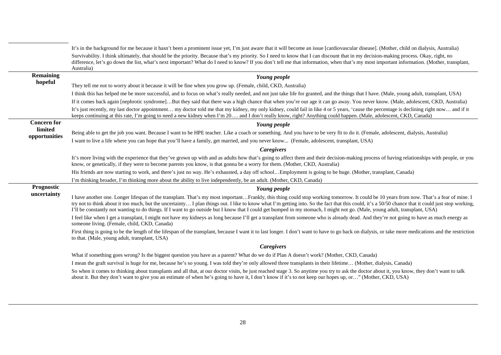|                          | It's in the background for me because it hasn't been a prominent issue yet, I'm just aware that it will become an issue [cardiovascular disease]. (Mother, child on dialysis, Australia)                                                                                                                                                                                                                                                                                                                                                                                     |
|--------------------------|------------------------------------------------------------------------------------------------------------------------------------------------------------------------------------------------------------------------------------------------------------------------------------------------------------------------------------------------------------------------------------------------------------------------------------------------------------------------------------------------------------------------------------------------------------------------------|
|                          | Survivability. I think ultimately, that should be the priority. Because that's my priority. So I need to know that I can discount that in my decision-making process. Okay, right, no<br>difference, let's go down the list, what's next important? What do I need to know? If you don't tell me that information, when that's my most important information. (Mother, transplant,<br>Australia)                                                                                                                                                                             |
| Remaining                | Young people                                                                                                                                                                                                                                                                                                                                                                                                                                                                                                                                                                 |
| hopeful                  | They tell me not to worry about it because it will be fine when you grow up. (Female, child, CKD, Australia)                                                                                                                                                                                                                                                                                                                                                                                                                                                                 |
|                          | I think this has helped me be more successful, and to focus on what's really needed, and not just take life for granted, and the things that I have. (Male, young adult, transplant, USA)                                                                                                                                                                                                                                                                                                                                                                                    |
|                          | If it comes back again [nephrotic syndrome]But they said that there was a high chance that when you're our age it can go away. You never know. (Male, adolescent, CKD, Australia)                                                                                                                                                                                                                                                                                                                                                                                            |
|                          | It's just recently, my last doctor appointment my doctor told me that my kidney, my only kidney, could fail in like 4 or 5 years, 'cause the percentage is declining right now and if it<br>keeps continuing at this rate, I'm going to need a new kidney when I'm 20 and I don't really know, right? Anything could happen. (Male, adolescent, CKD, Canada)                                                                                                                                                                                                                 |
| <b>Concern for</b>       | Young people                                                                                                                                                                                                                                                                                                                                                                                                                                                                                                                                                                 |
| limited<br>opportunities | Being able to get the job you want. Because I want to be HPE teacher. Like a coach or something. And you have to be very fit to do it. (Female, adolescent, dialysis, Australia)                                                                                                                                                                                                                                                                                                                                                                                             |
|                          | I want to live a life where you can hope that you'll have a family, get married, and you never know (Female, adolescent, transplant, USA)                                                                                                                                                                                                                                                                                                                                                                                                                                    |
|                          | <b>Caregivers</b>                                                                                                                                                                                                                                                                                                                                                                                                                                                                                                                                                            |
|                          | It's more living with the experience that they've grown up with and as adults how that's going to affect them and their decision-making process of having relationships with people, or you<br>know, or genetically, if they were to become parents you know, is that gonna be a worry for them. (Mother, CKD, Australia)                                                                                                                                                                                                                                                    |
|                          | His friends are now starting to work, and there's just no way. He's exhausted, a day off schoolEmployment is going to be huge. (Mother, transplant, Canada)                                                                                                                                                                                                                                                                                                                                                                                                                  |
|                          | I'm thinking broader, I'm thinking more about the ability to live independently, be an adult. (Mother, CKD, Canada)                                                                                                                                                                                                                                                                                                                                                                                                                                                          |
| Prognostic               | Young people                                                                                                                                                                                                                                                                                                                                                                                                                                                                                                                                                                 |
| uncertainty              | I have another one. Longer lifespan of the transplant. That's my most importantFrankly, this thing could stop working tomorrow. It could be 10 years from now. That's a fear of mine. I<br>try not to think about it too much, but the uncertainty I plan things out. I like to know what I'm getting into. So the fact that this could, it's a 50/50 chance that it could just stop working,<br>I'll be constantly not wanting to do things. If I want to go outside but I know that I could get bumped in my stomach, I might not go. (Male, young adult, transplant, USA) |
|                          | I feel like when I get a transplant, I might not have my kidneys as long because I'll get a transplant from someone who is already dead. And they're not going to have as much energy as<br>someone living. (Female, child, CKD, Canada)                                                                                                                                                                                                                                                                                                                                     |
|                          | First thing is going to be the length of the lifespan of the transplant, because I want it to last longer. I don't want to have to go back on dialysis, or take more medications and the restriction<br>to that. (Male, young adult, transplant, USA)                                                                                                                                                                                                                                                                                                                        |
|                          | <b>Caregivers</b>                                                                                                                                                                                                                                                                                                                                                                                                                                                                                                                                                            |
|                          | What if something goes wrong? Is the biggest question you have as a parent? What do we do if Plan A doesn't work? (Mother, CKD, Canada)                                                                                                                                                                                                                                                                                                                                                                                                                                      |
|                          | I mean the graft survival is huge for me, because he's so young. I was told they're only allowed three transplants in their lifetime (Mother, dialysis, Canada)                                                                                                                                                                                                                                                                                                                                                                                                              |
|                          | So when it comes to thinking about transplants and all that, at our doctor visits, he just reached stage 3. So anytime you try to ask the doctor about it, you know, they don't want to talk<br>about it. But they don't want to give you an estimate of when he's going to have it, I don't know if it's to not keep our hopes up, or" (Mother, CKD, USA)                                                                                                                                                                                                                   |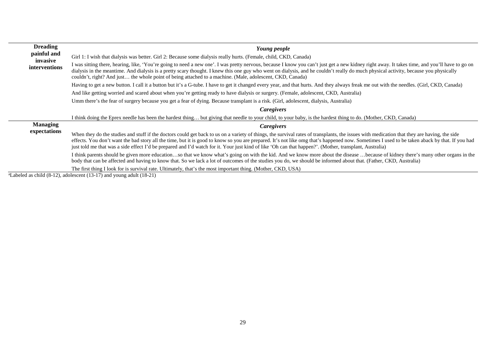| <b>Dreading</b><br>painful and   | Young people                                                                                                                                                                                                                                                                                                                                                                                                                                                                                                                                            |
|----------------------------------|---------------------------------------------------------------------------------------------------------------------------------------------------------------------------------------------------------------------------------------------------------------------------------------------------------------------------------------------------------------------------------------------------------------------------------------------------------------------------------------------------------------------------------------------------------|
| invasive<br><i>interventions</i> | Girl 1: I wish that dialysis was better. Girl 2: Because some dialysis really hurts. (Female, child, CKD, Canada)                                                                                                                                                                                                                                                                                                                                                                                                                                       |
|                                  | I was sitting there, hearing, like, 'You're going to need a new one'. I was pretty nervous, because I know you can't just get a new kidney right away. It takes time, and you'll have to go on<br>dialysis in the meantime. And dialysis is a pretty scary thought. I knew this one guy who went on dialysis, and he couldn't really do much physical activity, because you physically<br>couldn't, right? And just the whole point of being attached to a machine. (Male, adolescent, CKD, Canada)                                                     |
|                                  | Having to get a new button. I call it a button but it's a G-tube. I have to get it changed every year, and that hurts. And they always freak me out with the needles. (Girl, CKD, Canada)                                                                                                                                                                                                                                                                                                                                                               |
|                                  | And like getting worried and scared about when you're getting ready to have dialysis or surgery. (Female, adolescent, CKD, Australia)                                                                                                                                                                                                                                                                                                                                                                                                                   |
|                                  | Umm there's the fear of surgery because you get a fear of dying. Because transplant is a risk. (Girl, adolescent, dialysis, Australia)                                                                                                                                                                                                                                                                                                                                                                                                                  |
|                                  | Caregivers                                                                                                                                                                                                                                                                                                                                                                                                                                                                                                                                              |
|                                  | I think doing the Eprex needle has been the hardest thing but giving that needle to your child, to your baby, is the hardest thing to do. (Mother, CKD, Canada)                                                                                                                                                                                                                                                                                                                                                                                         |
| <b>Managing</b>                  | <b>Caregivers</b>                                                                                                                                                                                                                                                                                                                                                                                                                                                                                                                                       |
| expectations                     | When they do the studies and stuff if the doctors could get back to us on a variety of things, the survival rates of transplants, the issues with medication that they are having, the side<br>effects. You don't want the bad story all the time, but it is good to know so you are prepared. It's not like omg that's happened now. Sometimes I used to be taken aback by that. If you had<br>just told me that was a side effect I'd be prepared and I'd watch for it. Your just kind of like 'Oh can that happen?'. (Mother, transplant, Australia) |
|                                  | I think parents should be given more educationso that we know what's going on with the kid. And we know more about the disease  because of kidney there's many other organs in the<br>body that can be affected and having to know that. So we lack a lot of outcomes of the studies you do, we should be informed about that. (Father, CKD, Australia)                                                                                                                                                                                                 |
| $1.11 / 0.103 - 1.1$             | The first thing I look for is survival rate. Ultimately, that's the most important thing. (Mother, CKD, USA)<br>$(10.40 \text{ m})$ $(11.40 \text{ m})$                                                                                                                                                                                                                                                                                                                                                                                                 |

<sup>a</sup>Labeled as child (8-12), adolescent (13-17) and young adult (18-21)